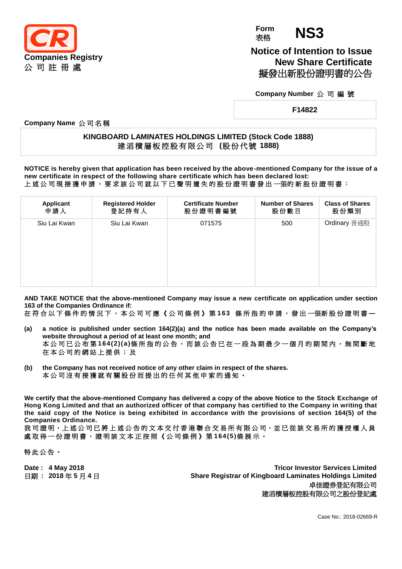

**Form Form NS3** 

**Notice of Intention to Issue New Share Certificate** 擬發出新股份證明書的公告

**Company Number** 公 司 編 號

**F14822**

**Company Name** 公 司 名 稱

## **KINGBOARD LAMINATES HOLDINGS LIMITED (Stock Code 1888)** 建 滔 積 層 板 控 股 有 限 公 司 **(**股 份 代 號 **1888)**

**NOTICE is hereby given that application has been received by the above-mentioned Company for the issue of a new certificate in respect of the following share certificate which has been declared lost:** 上 述 公 司 現 接 獲 申 請 , 要 求 該 公 司 就 以 下 已 聲 明 遺 失 的 股 份 證 明 書 發 出 一張的 新 股 份 證 明 書 :

| Applicant    | <b>Registered Holder</b> | <b>Certificate Number</b> | <b>Number of Shares</b> | <b>Class of Shares</b> |
|--------------|--------------------------|---------------------------|-------------------------|------------------------|
| 申請人          | 登記持有人                    | 股份證明書編號                   | 股份數目                    | 股份類別                   |
| Siu Lai Kwan | Siu Lai Kwan             | 071575                    | 500                     | Ordinary 普通股           |

**AND TAKE NOTICE that the above-mentioned Company may issue a new certificate on application under section 163 of the Companies Ordinance if:**

在 符 合 以 下 條 件 的 情 況 下 , 本 公 司 可 應 《 公 司 條 例 》 第 **163** 條 所 指 的 申 請 , 發 出 一張新 股 份 證 明 書 **—**

- **(a) a notice is published under section 164(2)(a) and the notice has been made available on the Company's website throughout a period of at least one month; and** 本公司已公布第 **164(2)(a)**條所指的公告,而該公告已在一段為期最少一個月的期間內,無間斷地 在 本 公 司 的 網 站 上 提 供 ; 及
- **(b) the Company has not received notice of any other claim in respect of the shares.** 本 公 司 沒 有 接 獲 就 有 關 股 份 而 提 出 的 任 何 其 他 申 索 的 通 知 。

**We certify that the above-mentioned Company has delivered a copy of the above Notice to the Stock Exchange of Hong Kong Limited and that an authorized officer of that company has certified to the Company in writing that the said copy of the Notice is being exhibited in accordance with the provisions of section 164(5) of the Companies Ordinance.**

我司證明,上述公司已將上述公告的文本交付香港聯合交易所有限公司,並已從該交易所的獲授權人員 處 取 得 一 份 證 明 書 , 證 明 該 文 本 正 按 照 《 公 司 條 例 》 第 **164(5)**條展示。

特此公告。

**Date : 4 May 2018 Tricor Investor Services Limited** 日期 **: 2018** 年 **5** 月 **4** 日 **Share Registrar of Kingboard Laminates Holdings Limited** 卓佳證券登記有限公司 建滔積層板控股有限公司之股份登記處

Case No.: 2018-02669-R